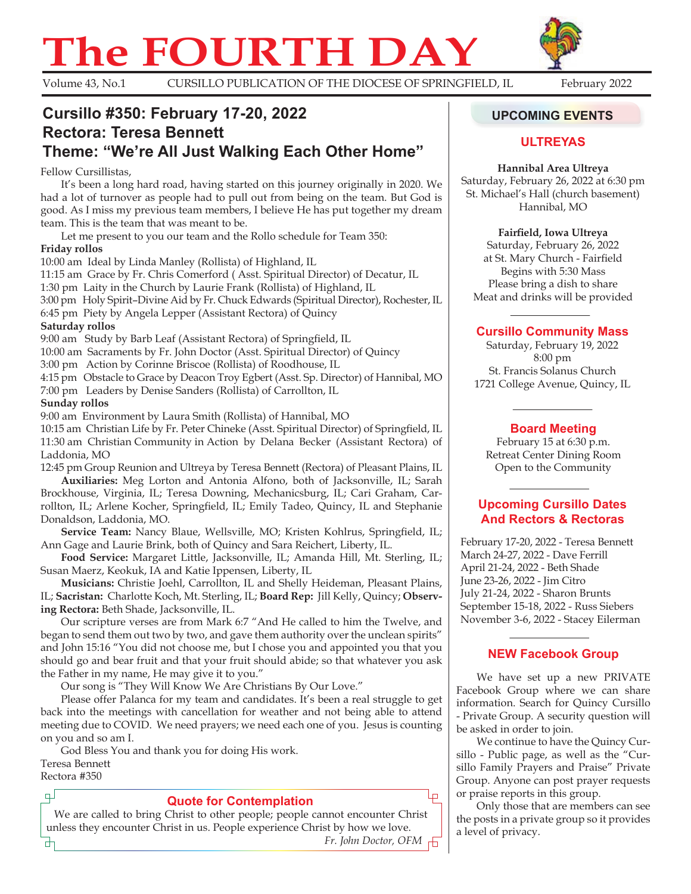# **The FOURTH DAY**<br>Volume 43, No.1 CURSILLO PUBLICATION OF THE DIOCESE OF SPRINGEI



CURSILLO PUBLICATION OF THE DIOCESE OF SPRINGFIELD, IL February 2022

## **Cursillo #350: February 17-20, 2022 Rectora: Teresa Bennett Theme: "We're All Just Walking Each Other Home"**

## Fellow Cursillistas,

It's been a long hard road, having started on this journey originally in 2020. We had a lot of turnover as people had to pull out from being on the team. But God is good. As I miss my previous team members, I believe He has put together my dream team. This is the team that was meant to be.

Let me present to you our team and the Rollo schedule for Team 350: **Friday rollos**

10:00 am Ideal by Linda Manley (Rollista) of Highland, IL 11:15 am Grace by Fr. Chris Comerford ( Asst. Spiritual Director) of Decatur, IL 1:30 pm Laity in the Church by Laurie Frank (Rollista) of Highland, IL 3:00 pm Holy Spirit–Divine Aid by Fr. Chuck Edwards (Spiritual Director), Rochester, IL 6:45 pm Piety by Angela Lepper (Assistant Rectora) of Quincy **Saturday rollos**

9:00 am Study by Barb Leaf (Assistant Rectora) of Springfield, IL

10:00 am Sacraments by Fr. John Doctor (Asst. Spiritual Director) of Quincy

3:00 pm Action by Corinne Briscoe (Rollista) of Roodhouse, IL

4:15 pm Obstacle to Grace by Deacon Troy Egbert (Asst. Sp. Director) of Hannibal, MO 7:00 pm Leaders by Denise Sanders (Rollista) of Carrollton, IL

### **Sunday rollos**

9:00 am Environment by Laura Smith (Rollista) of Hannibal, MO

10:15 am Christian Life by Fr. Peter Chineke (Asst. Spiritual Director) of Springfield, IL 11:30 am Christian Community in Action by Delana Becker (Assistant Rectora) of Laddonia, MO

12:45 pm Group Reunion and Ultreya by Teresa Bennett (Rectora) of Pleasant Plains, IL **Auxiliaries:** Meg Lorton and Antonia Alfono, both of Jacksonville, IL; Sarah Brockhouse, Virginia, IL; Teresa Downing, Mechanicsburg, IL; Cari Graham, Carrollton, IL; Arlene Kocher, Springfield, IL; Emily Tadeo, Quincy, IL and Stephanie Donaldson, Laddonia, MO.

**Service Team:** Nancy Blaue, Wellsville, MO; Kristen Kohlrus, Springfield, IL; Ann Gage and Laurie Brink, both of Quincy and Sara Reichert, Liberty, IL.

**Food Service:** Margaret Little, Jacksonville, IL; Amanda Hill, Mt. Sterling, IL; Susan Maerz, Keokuk, IA and Katie Ippensen, Liberty, IL

**Musicians:** Christie Joehl, Carrollton, IL and Shelly Heideman, Pleasant Plains, IL; **Sacristan:** Charlotte Koch, Mt. Sterling, IL; **Board Rep:** Jill Kelly, Quincy; **Observing Rectora:** Beth Shade, Jacksonville, IL.

Our scripture verses are from Mark 6:7 "And He called to him the Twelve, and began to send them out two by two, and gave them authority over the unclean spirits" and John 15:16 "You did not choose me, but I chose you and appointed you that you should go and bear fruit and that your fruit should abide; so that whatever you ask the Father in my name, He may give it to you."

Our song is "They Will Know We Are Christians By Our Love."

Please offer Palanca for my team and candidates. It's been a real struggle to get back into the meetings with cancellation for weather and not being able to attend meeting due to COVID. We need prayers; we need each one of you. Jesus is counting on you and so am I.

God Bless You and thank you for doing His work. Teresa Bennett

Rectora #350

## **Quote for Contemplation**

We are called to bring Christ to other people; people cannot encounter Christ unless they encounter Christ in us. People experience Christ by how we love. *Fr. John Doctor, OFM*

## **UPCOMING EVENTS**

## **ULTREYAS**

**Hannibal Area Ultreya** Saturday, February 26, 2022 at 6:30 pm St. Michael's Hall (church basement) Hannibal, MO

**Fairfield, Iowa Ultreya**

Saturday, February 26, 2022 at St. Mary Church - Fairfield Begins with 5:30 Mass Please bring a dish to share Meat and drinks will be provided

## **Cursillo Community Mass**

Saturday, February 19, 2022 8:00 pm St. Francis Solanus Church 1721 College Avenue, Quincy, IL

## **Board Meeting**

February 15 at 6:30 p.m. Retreat Center Dining Room Open to the Community

## **Upcoming Cursillo Dates and Rectors & Rectoras**

February 17-20, 2022 - Teresa Bennett March 24-27, 2022 - Dave Ferrill April 21-24, 2022 - Beth Shade June 23-26, 2022 - Jim Citro July 21-24, 2022 - Sharon Brunts September 15-18, 2022 - Russ Siebers November 3-6, 2022 - Stacey Eilerman

## **NEW Facebook Group**

We have set up a new PRIVATE Facebook Group where we can share information. Search for Quincy Cursillo - Private Group. A security question will be asked in order to join.

We continue to have the Quincy Cursillo - Public page, as well as the "Cursillo Family Prayers and Praise" Private Group. Anyone can post prayer requests or praise reports in this group.

Ļρ

Only those that are members can see the posts in a private group so it provides a level of privacy.

பு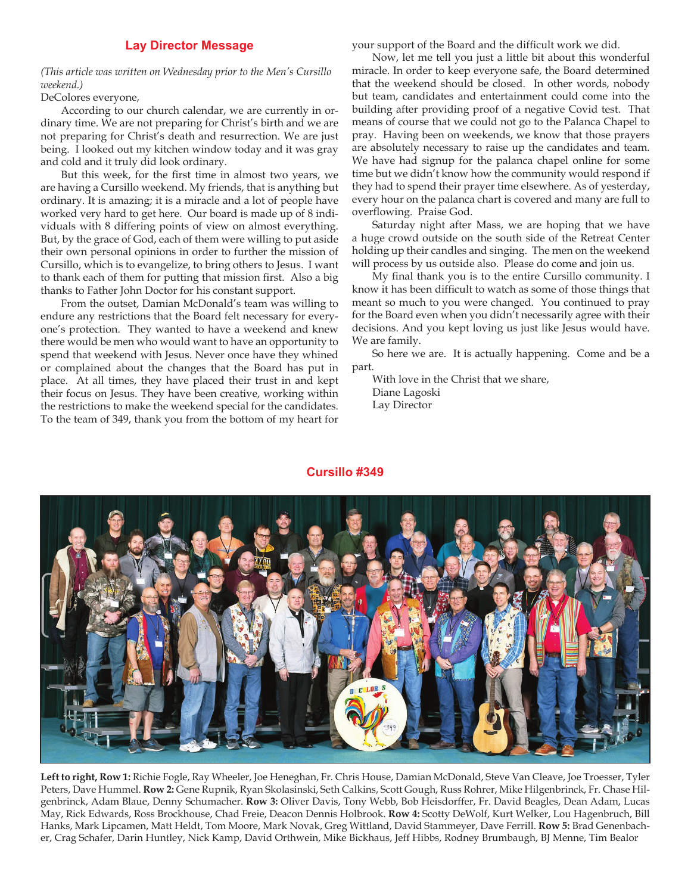#### **Lay Director Message**

#### *(This article was written on Wednesday prior to the Men's Cursillo weekend.)*

#### DeColores everyone,

According to our church calendar, we are currently in ordinary time. We are not preparing for Christ's birth and we are not preparing for Christ's death and resurrection. We are just being. I looked out my kitchen window today and it was gray and cold and it truly did look ordinary.

But this week, for the first time in almost two years, we are having a Cursillo weekend. My friends, that is anything but ordinary. It is amazing; it is a miracle and a lot of people have worked very hard to get here. Our board is made up of 8 individuals with 8 differing points of view on almost everything. But, by the grace of God, each of them were willing to put aside their own personal opinions in order to further the mission of Cursillo, which is to evangelize, to bring others to Jesus. I want to thank each of them for putting that mission first. Also a big thanks to Father John Doctor for his constant support.

From the outset, Damian McDonald's team was willing to endure any restrictions that the Board felt necessary for everyone's protection. They wanted to have a weekend and knew there would be men who would want to have an opportunity to spend that weekend with Jesus. Never once have they whined or complained about the changes that the Board has put in place. At all times, they have placed their trust in and kept their focus on Jesus. They have been creative, working within the restrictions to make the weekend special for the candidates. To the team of 349, thank you from the bottom of my heart for your support of the Board and the difficult work we did.

Now, let me tell you just a little bit about this wonderful miracle. In order to keep everyone safe, the Board determined that the weekend should be closed. In other words, nobody but team, candidates and entertainment could come into the building after providing proof of a negative Covid test. That means of course that we could not go to the Palanca Chapel to pray. Having been on weekends, we know that those prayers are absolutely necessary to raise up the candidates and team. We have had signup for the palanca chapel online for some time but we didn't know how the community would respond if they had to spend their prayer time elsewhere. As of yesterday, every hour on the palanca chart is covered and many are full to overflowing. Praise God.

Saturday night after Mass, we are hoping that we have a huge crowd outside on the south side of the Retreat Center holding up their candles and singing. The men on the weekend will process by us outside also. Please do come and join us.

My final thank you is to the entire Cursillo community. I know it has been difficult to watch as some of those things that meant so much to you were changed. You continued to pray for the Board even when you didn't necessarily agree with their decisions. And you kept loving us just like Jesus would have. We are family.

So here we are. It is actually happening. Come and be a part.

With love in the Christ that we share, Diane Lagoski Lay Director

## **Cursillo #349**



**Left to right, Row 1:** Richie Fogle, Ray Wheeler, Joe Heneghan, Fr. Chris House, Damian McDonald, Steve Van Cleave, Joe Troesser, Tyler Peters, Dave Hummel. **Row 2:** Gene Rupnik, Ryan Skolasinski, Seth Calkins, Scott Gough, Russ Rohrer, Mike Hilgenbrinck, Fr. Chase Hilgenbrinck, Adam Blaue, Denny Schumacher. **Row 3:** Oliver Davis, Tony Webb, Bob Heisdorffer, Fr. David Beagles, Dean Adam, Lucas May, Rick Edwards, Ross Brockhouse, Chad Freie, Deacon Dennis Holbrook. **Row 4:** Scotty DeWolf, Kurt Welker, Lou Hagenbruch, Bill Hanks, Mark Lipcamen, Matt Heldt, Tom Moore, Mark Novak, Greg Wittland, David Stammeyer, Dave Ferrill. **Row 5:** Brad Genenbacher, Crag Schafer, Darin Huntley, Nick Kamp, David Orthwein, Mike Bickhaus, Jeff Hibbs, Rodney Brumbaugh, BJ Menne, Tim Bealor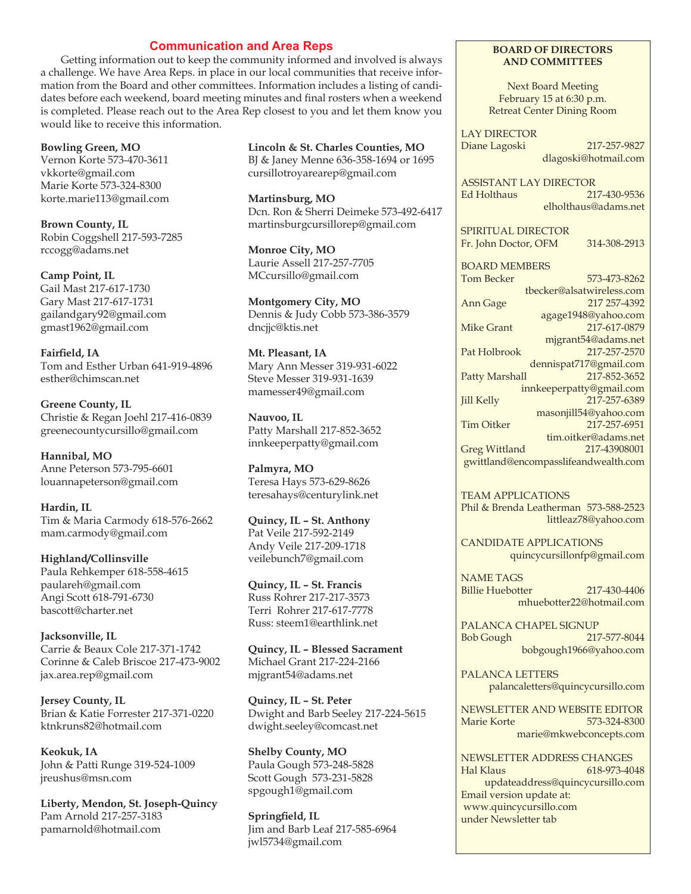## **Communication and Area Reps**

Getting information out to keep the community informed and involved is always a challenge. We have Area Reps. in place in our local communities that receive information from the Board and other committees. Information includes a listing of candidates before each weekend, board meeting minutes and final rosters when a weekend is completed. Please reach out to the Area Rep closest to you and let them know you would like to receive this information.

**Bowling Green, MO** Vernon Korte 573-470-3611 vkkorte@gmail.com Marie Korte 573-324-8300 korte.marie113@gmail.com

**Brown County, IL** Robin Coggshell 217-593-7285 rccogg@adams.net

**Camp Point, IL** Gail Mast 217-617-1730 Gary Mast 217-617-1731 gailandgary92@gmail.com gmast1962@gmail.com

**Fairfield, IA** Tom and Esther Urban 641-919-4896 esther@chimscan.net

**Greene County, IL** Christie & Regan Joehl 217-416-0839 greenecountycursillo@gmail.com

**Hannibal, MO** Anne Peterson 573-795-6601 louannapeterson@gmail.com

**Hardin, IL** Tim & Maria Carmody 618-576-2662 mam.carmody@gmail.com

**Highland/Collinsville** Paula Rehkemper 618-558-4615 paulareh@gmail.com Angi Scott 618-791-6730 bascott@charter.net

**Jacksonville, IL** Carrie & Beaux Cole 217-371-1742 Corinne & Caleb Briscoe 217-473-9002 jax.area.rep@gmail.com

**Jersey County, IL** Brian & Katie Forrester 217-371-0220 ktnkruns82@hotmail.com

**Keokuk, IA** John & Patti Runge 319-524-1009 jreushus@msn.com

**Liberty, Mendon, St. Joseph-Quincy** Pam Arnold 217-257-3183 pamarnold@hotmail.com

**Lincoln & St. Charles Counties, MO** BJ & Janey Menne 636-358-1694 or 1695 cursillotroyarearep@gmail.com

**Martinsburg, MO** Dcn. Ron & Sherri Deimeke 573-492-6417 martinsburgcursillorep@gmail.com

**Monroe City, MO** Laurie Assell 217-257-7705 MCcursillo@gmail.com

**Montgomery City, MO** Dennis & Judy Cobb 573-386-3579 dncjjc@ktis.net

**Mt. Pleasant, IA** Mary Ann Messer 319-931-6022 Steve Messer 319-931-1639 mamesser49@gmail.com

**Nauvoo, IL** Patty Marshall 217-852-3652 innkeeperpatty@gmail.com

**Palmyra, MO** Teresa Hays 573-629-8626 teresahays@centurylink.net

**Quincy, IL – St. Anthony** Pat Veile 217-592-2149 Andy Veile 217-209-1718 veilebunch7@gmail.com

**Quincy, IL – St. Francis** Russ Rohrer 217-217-3573 Terri Rohrer 217-617-7778 Russ: steem1@earthlink.net

**Quincy, IL – Blessed Sacrament** Michael Grant 217-224-2166 mjgrant54@adams.net

**Quincy, IL – St. Peter** Dwight and Barb Seeley 217-224-5615 dwight.seeley@comcast.net

**Shelby County, MO** Paula Gough 573-248-5828 Scott Gough 573-231-5828 spgough1@gmail.com

**Springfield, IL** Jim and Barb Leaf 217-585-6964 jwl5734@gmail.com

#### **BOARD OF DIRECTORS AND COMMITTEES**

Next Board Meeting February 15 at 6:30 p.m. Retreat Center Dining Room

LAY DIRECTOR Diane Lagoski 217-257-9827 dlagoski@hotmail.com

ASSISTANT LAY DIRECTOR Ed Holthaus 217-430-9536 elholthaus@adams.net

SPIRITUAL DIRECTOR Fr. John Doctor, OFM 314-308-2913

BOARD MEMBERS Tom Becker 573-473-8262 tbecker@alsatwireless.com Ann Gage 217 257-4392 agage1948@yahoo.com Mike Grant 217-617-0879 mjgrant54@adams.net Pat Holbrook 217-257-2570 dennispat717@gmail.com Patty Marshall 217-852-3652 innkeeperpatty@gmail.com Jill Kelly 217-257-6389 masonjill54@yahoo.com Tim Oitker 217-257-6951 tim.oitker@adams.net Greg Wittland 217-43908001 gwittland@encompasslifeandwealth.com

TEAM APPLICATIONS Phil & Brenda Leatherman 573-588-2523 littleaz78@yahoo.com

CANDIDATE APPLICATIONS quincycursillonfp@gmail.com

NAME TAGS Billie Huebotter 217-430-4406 mhuebotter22@hotmail.com

PALANCA CHAPEL SIGNUP<br>Bob Gough 217 Bob Gough 217-577-8044 bobgough1966@yahoo.com

PALANCA LETTERS palancaletters@quincycursillo.com

NEWSLETTER AND WEBSITE EDITOR Marie Korte 573-324-8300 marie@mkwebconcepts.com

NEWSLETTER ADDRESS CHANGES Hal Klaus 618-973-4048 updateaddress@quincycursillo.com Email version update at: www.quincycursillo.com under Newsletter tab